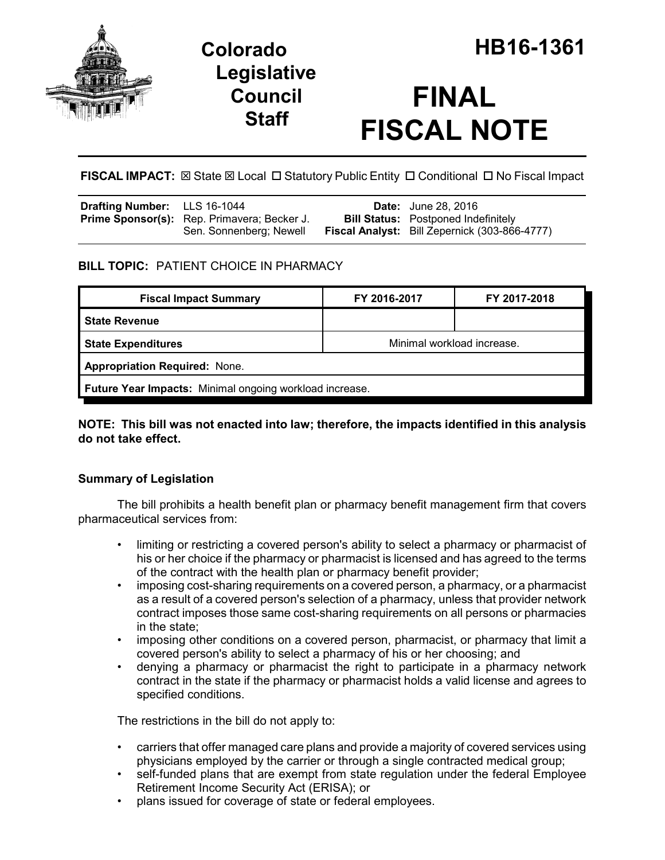

## **Legislative Council Staff**

# **FINAL FISCAL NOTE**

FISCAL IMPACT:  $\boxtimes$  State  $\boxtimes$  Local  $\Box$  Statutory Public Entity  $\Box$  Conditional  $\Box$  No Fiscal Impact

| <b>Drafting Number:</b> LLS 16-1044 |                                                                               | <b>Date:</b> June 28, 2016                                                                         |
|-------------------------------------|-------------------------------------------------------------------------------|----------------------------------------------------------------------------------------------------|
|                                     | <b>Prime Sponsor(s):</b> Rep. Primavera; Becker J.<br>Sen. Sonnenberg; Newell | <b>Bill Status:</b> Postponed Indefinitely<br><b>Fiscal Analyst:</b> Bill Zepernick (303-866-4777) |

## **BILL TOPIC:** PATIENT CHOICE IN PHARMACY

| FY 2016-2017                                            | FY 2017-2018 |  |  |  |  |
|---------------------------------------------------------|--------------|--|--|--|--|
|                                                         |              |  |  |  |  |
| Minimal workload increase.                              |              |  |  |  |  |
| <b>Appropriation Required: None.</b>                    |              |  |  |  |  |
| Future Year Impacts: Minimal ongoing workload increase. |              |  |  |  |  |
|                                                         |              |  |  |  |  |

## **NOTE: This bill was not enacted into law; therefore, the impacts identified in this analysis do not take effect.**

## **Summary of Legislation**

The bill prohibits a health benefit plan or pharmacy benefit management firm that covers pharmaceutical services from:

- limiting or restricting a covered person's ability to select a pharmacy or pharmacist of his or her choice if the pharmacy or pharmacist is licensed and has agreed to the terms of the contract with the health plan or pharmacy benefit provider;
- imposing cost-sharing requirements on a covered person, a pharmacy, or a pharmacist as a result of a covered person's selection of a pharmacy, unless that provider network contract imposes those same cost-sharing requirements on all persons or pharmacies in the state;
- imposing other conditions on a covered person, pharmacist, or pharmacy that limit a covered person's ability to select a pharmacy of his or her choosing; and
- denying a pharmacy or pharmacist the right to participate in a pharmacy network contract in the state if the pharmacy or pharmacist holds a valid license and agrees to specified conditions.

The restrictions in the bill do not apply to:

- carriers that offer managed care plans and provide a majority of covered services using physicians employed by the carrier or through a single contracted medical group;
- self-funded plans that are exempt from state regulation under the federal Employee Retirement Income Security Act (ERISA); or
- plans issued for coverage of state or federal employees.